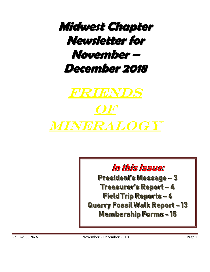Midwest Chapter Newsletter for November – December 2018



# In this Issue:

President's Message - 3 Treasurer's Report – 4 Field Trip Reports – 6 Quarry Fossiil Walk Report – 13 **Membership Forms - 15**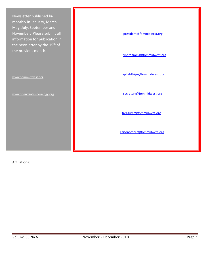

Affiliations:

 THE MINERALOGICAL RECORD THE MINERALOGICAL SOCIETY OF AMERICA AMERICAN GEOSCIENCES INSTITUTE MINERALOGICAL ASSOCIATION OF CANADA ROCKS & MINERALS MAGAZINE MINERAL NEWS MINDAT

Our purpose is to organize and promote interest in and knowledge of  $\mathbb{R}^n$ mineralogical education; to protect and preserve mineral s localities; to further cooperation between amateur and pro minerals for educational value; and to support publication kindred organizations.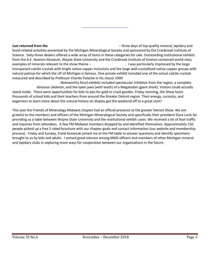#### president@fommidwest.org

# $S$ ucce's Meef autl $\&$  after  $\#$  the  $'$  Detroit

Just returned from the Greater Detroit, Ge-rthree days of top quality moneral, to prioter ind Show fossil-related activities presented by the Michigan Mineralogical Society and sponsored by the Cranbrook Institute of Science. Sixty-three dealers offered a wide array of items in these categories for sale. Outstanding institutional exhibits from the A.E. Seamon Museum, Wayne State University and the Cranbrook Institute of Science contained world-class examples of minerals relevant to the show theme – G r e a t L a k el was particularly limp pressed by the large transparent calcite crystals with bright native copper inclusions and the large well-crystallized native copper groups with natural patinas for which the UP of Michigan is famous. One private exhibit included one of the actual calcite crystals measured and described by Professor Charles Palache in his classic 1900 Report on the Crystalli C o p p e r Mines . Noteworthy fossil exhibit pincluded spectacular trilobites from the region, a complete K o s mo c edinosatur skeleton, and the open jaws (with teeth) of a Megalodon (giant shark). Visitors could actually stand inside. There were opportunities for kids to pan for gold or crack geodes. Friday morning, the Show hosts thousands of school kids and their teachers from around the Greater Detroit region. Their energy, curiosity, and eagerness to learn more about the natural history on display got the weekend off to a great start!

This year the Friends of Mineralogy Midwest chapter had an official presence at the greater Detroit Show. We are grateful to the members and officers of the Michigan Mineralogical Society and specifically their president Dave Lurie for providing us a table between Wayne State University and the institutional exhibit cases. We received a lot of foot traffic and inquiries from attendees. A few FM Midwest members dropped by and identified themselves. Approximately 150 people picked up a free 2-sided brochure with our chapter goals and contact information (our website and membership process). Friday and Sunday, Frank Konieczki joined me at the FM table to answer questions and identify specimens brought to us by kids and adults. I sensed great interest among MMS officers and members of other Michigan mineral and lapidary clubs in exploring more ways for cooperation between our organizations in the future.

> Ken Bladh at the Mineralogy Midwes table at the 2018 Gem, Mineral & Fo Frank's Midwest m specimens attract and adults who wa about the mineral organization. Photo by Frank Ko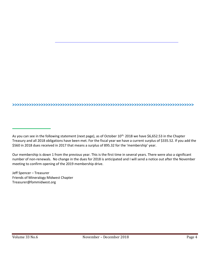Upcoming Annual Meeting Reminder

Our November Business meetiSmagtuwidtahy, el Nocanttein Schne OntoFHOSM and found Micromounting tSymposium and Museum of Natural geHmids to 1 for the FoM – Midweisntclbuudse is net shae smeetittiems;

1. Final vote on the motion to modify the bylaws as August N<u>atwsbett www.fommidwest.org/wp-cont</u>ent/uplo 2. Nominations from the floor and election of office current office) 3.Set dues for the coming year 4.President's Annual Report 5.Reports from officers 6.Updates on planning for 2019 Symposium; Great Lak 7. Updates on actions taken and under consideration If you are unable to attend and have input that

>>>>>>>>>>>>>>>>>>>>>>>>>>>>>>>>>>>>>>>>>>>>>>>>>>>>>>>>>>>>>>>>>>>>>>>>>>>>

please send them to me and I will share them at

#### Treasurers Report

As you can see in the following statement (next page), as of October  $10^{th}$ , 2018 we have \$6,652.53 in the Chapter Treasury and all 2018 obligations have been met. For the fiscal year we have a current surplus of \$335.52. If you add the \$560 in 2018 dues received in 2017 that means a surplus of 895.32 for the 'membership' year.

Our membership is down 1 from the previous year. This is the first time in several years. There were also a significant number of non-renewals. No change in the dues for 2018 is anticipated and I will send a notice out after the November meeting to confirm opening of the 2019 membership drive.

Jeff Spencer – Treasurer Friends of Mineralogy Midwest Chapter Treasurer@fommidwest.org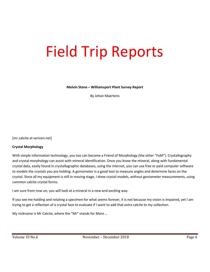# FM on the go……… Field Trip Reports

Melvin Stone – Williamsport Plant Survey Report

By Johan Maertens

About the author

Johan Maertens is a new Friends of Mineralogy Mid-Wes has collected and studied minerals, as a hobby, for morphology carries his particular interest. Field col and purchasing complement building the collection.

[mr.calcite at verizon.net]

#### Crystal Morphology

With simple information technology, you too can become a Friend of Morphology (the other "FoM"). Crystallography and crystal morphology can assist with mineral identification. Once you know the mineral, along with fundamental crystal data, easily found in crystallographic databases, using the internet, you can use free or paid computer software to models the crystals you are holding. A goniometer is a good tool to measure angles and determine faces on the crystal. Since all my equipment is still in moving stage, I drew crystal models, without goniometer measurements, using common calcite crystal forms.

I am sure from now on, you will look at a mineral in a new and exciting way.

If you see me holding and rotating a specimen for what seems forever, it is not because my vision is impaired, yet I am trying to get a reflection of a crystal face to evaluate if I want to add that extra calcite to my collection.

My nickname is Mr Calcite, where the "Mr" stands for More …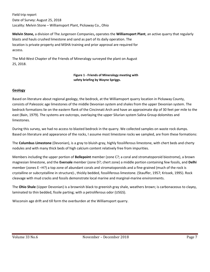Field trip report Date of Survey: August 25, 2018 Locality: Melvin Stone – Williamsport Plant, Pickaway Co., Ohio

Melvin Stone, a division of The Jurgensen Companies, operates the Williamsport Plant, an active quarry that regularly blasts and hauls crushed limestone and sand as part of its daily operation. The location is private property and MSHA training and prior approval are required for access.

The Mid-West Chapter of the Friends of Mineralogy surveyed the plant on August 25, 2018.

> Figure 1 - Friends of Mineralogy meeting with safety briefing by Wayne Spriggs.

#### **Geology**

Based on literature about regional geology, the bedrock, at the Williamsport quarry location in Pickaway County, consists of Paleozoic age limestones of the middle Devonian system and shales from the upper Devonian system. The bedrock formations lie on the eastern flank of the Cincinnati Arch and have an approximate dip of 30 feet per mile to the east (Bain, 1979). The systems are outcrops, overlaying the upper Silurian system Salina Group dolomites and limestones.

During this survey, we had no access to blasted bedrock in the quarry. We collected samples on waste rock dumps. Based on literature and appearance of the rocks, I assume most limestone rocks we sampled, are from these formations:

The Columbus Limestone (Devonian), is a gray to bluish-gray, highly fossiliferous limestone, with chert beds and cherty nodules and with many thick beds of high calcium content relatively free from impurities.

Members including the upper portion of Bellepoint member (zone C?; a coral and stromatoporoid biostrome), a brown magnesian limestone, and the Eversole member (zone D?; chert zone) a middle portion containing few fossils, and Delhi member (zones E –H?) a top zone of abundant corals and stromatoporoids and a fine-grained (much of the rock is crystalline or subcrystalline in structure)-, thickly bedded, fossiliferous limestone. (Stauffer, 1957; Krissek, 1995). Rock cleavage with mud cracks and fossils demonstrate local marine and marginal-marine environments.

The Ohio Shale (Upper Devonian) is a brownish black to greenish gray shale, weathers brown; is carbonaceous to clayey, laminated to thin bedded, fissile parting; with a petroliferous odor (USGS).

Wisconsin age drift and till form the overburden at the Williamsport quarry.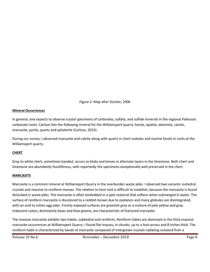Figure 2: Map after Slucher, 2006

#### Mineral Occurrences

In general, one expects to observe crystal specimens of carbonate, sulfate, and sulfide minerals in the regional Paleozoic carbonate rocks. Carlson lists the following mineral for the Williamsport quarry: barite, apatite, dolomite, calcite, marcasite, pyrite, quartz and sphalerite (Carlson, 2015).

During our survey, I observed marcasite and calcite along with quartz in chert nodules and marine fossils in rocks at the Williamsport quarry.

#### CHERT

Gray to white chert, sometimes banded, occurs as blobs and lenses in alternate layers in the limestone. Both chert and limestone are abundantly fossiliferous, with reportedly the specimens exceptionally well preserved in the chert.

#### **MARCASITE**

Marcasite is a common mineral at Williamsport Quarry in the overburden waste piles. I observed two variants: euhedral crystals and massive to reniform masses. The relation to host rock is difficult to establish, because the marcasite is found disturbed in waste piles. The marcasite is often embedded in a pale material that softens when submerged in water. The surface of reniform marcasite is discolored to a reddish brown due to oxidation and many globules are disintegrated, with an acid to rotten egg odor. Freshly exposed surfaces are greenish gray or a mixture of pale yellow and gray. Iridescent colors, dominantly blues and blue-greens, are characteristic of fractured marcasite.

The massive marcasite exhibits two habits: subhedral and reniform. Reniform habits are dominant in the thick massive marcasite occurrences at Williamsport Quarry. I found flat masses, in chunks, up to a foot across and 8 inches thick. The reniform habit is characterized by bands of marcasite composed of intergrown crystals radiating outward from a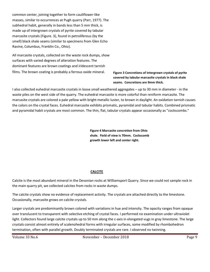common center, joining together to form cauliflower-like masses, similar to occurrences at Pugh quarry (Parr, 1977). The subhedral habit, generally in bands less than 5 mm thick, is made up of intergrown crystals of pyrite covered by tabular marcasite crystals (Figure. 3), found in petroliferous (by the smell) black shale seams (similar to specimens from Glen Echo Ravine, Columbus, Franklin Co., Ohio).

All marcasite crystals, collected on the waste rock dumps, show surfaces with varied degrees of alteration features. The dominant features are brown coatings and iridescent tarnish films. The brown coating is probably a ferrous oxide mineral.

Figure 3 Concretions of intergrown crystals of pyrite covered by tabular marcasite crystals in black shale seams. Concretions are 9mm thick.

I also collected euhedral marcasite crystals in loose small weathered aggregates – up to 30 mm in diameter - in the waste piles on the west side of the quarry. The euhedral marcasite is more colorful than reniform marcasite. The marcasite crystals are colored a pale yellow with bright metallic luster, to brown in daylight. An oxidation tarnish causes the colors on the crystal faces. Euhedral marcasite exhibits prismatic, pyramidal and tabular habits. Combined prismatic and pyramidal habit crystals are most common. The thin, flat, tabular crystals appear occasionally as "cockscombs."

> Figure 4 Marcasite concretion from Ohio shale. Field of view is 70mm. Cockscomb growth lower left and center right.

#### **CALCITE**

Calcite is the most abundant mineral in the Devonian rocks at Williamsport Quarry. Since we could not sample rock in the main quarry pit, we collected calcites from rocks in waste dumps.

The calcite crystals show no evidence of replacement activity. The crystals are attached directly to the limestone. Occasionally, marcasite grows on calcite crystals.

Larger crystals are predominantly brown colored with variations in hue and intensity. The opacity ranges from opaque over translucent to transparent with selective etching of crystal faces. I performed no examination under ultraviolet light. Collectors found large calcite crystals up to 50 mm along the c-axis in elongated vugs in gray limestone. The large crystals consist almost entirely of scalenohedral forms with irregular surfaces, some modified by rhombohedron termination, often with parallel growth. Doubly terminated crystals are rare. I observed no twinning.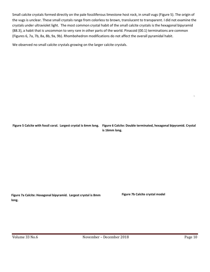Small calcite crystals formed directly on the pale fossiliferous limestone host rock, in small vugs (Figure 5). The origin of the vugs is unclear. These small crystals range from colorless to brown, translucent to transparent. I did not examine the crystals under ultraviolet light. The most common crystal habit of the small calcite crystals is the hexagonal bipyramid {88.3}, a habit that is uncommon to very rare in other parts of the world. Pinacoid {00.1} terminations are common (Figures 6, 7a, 7b, 8a, 8b, 9a, 9b). Rhombohedron modifications do not affect the overall pyramidal habit.

We observed no small calcite crystals growing on the larger calcite crystals.

Figure 5 Calcite with fossil coral. Largest crystal is 6mm long. Figure 6 Calcite: Double terminated, hexagonal bipyramid. Crystal is 16mm long.

Figure 7a Calcite: Hexagonal bipyramid. Largest crystal is 8mm long.

Figure 7b Calcite crystal model

`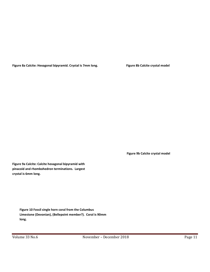Figure 8a Calcite: Hexagonal bipyramid. Crystal is 7mm long. Figure 8b Calcite crystal model

Figure 9b Calcite crystal model

Figure 9a Calcite: Calcite hexagonal bipyramid with pinacoid and rhombohedron terminations. Largest crystal is 6mm long.

Figure 10 Fossil single horn coral from the Columbus Limestone (Devonian), (Bellepoint member?). Coral is 90mm long.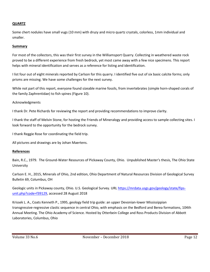#### **QUARTZ**

Some chert nodules have small vugs (10 mm) with druzy and micro quartz crystals, colorless, 1mm individual and smaller.

#### **Summary**

For most of the collectors, this was their first survey in the Williamsport Quarry. Collecting in weathered waste rock proved to be a different experience from fresh bedrock, yet most came away with a few nice specimens. This report helps with mineral identification and serves as a reference for listing and identification.

I list four out of eight minerals reported by Carlson for this quarry. I identified five out of six basic calcite forms; only prisms are missing. We have some challenges for the next survey.

While not part of this report, everyone found sizeable marine fossils, from invertebrates (simple horn-shaped corals of the family Zaphrentidae) to fish spines (Figure 10).

Acknowledgments

I thank Dr. Pete Richards for reviewing the report and providing recommendations to improve clarity.

I thank the staff of Melvin Stone, for hosting the Friends of Mineralogy and providing access to sample collecting sites. I look forward to the opportunity for the bedrock survey.

I thank Reggie Rose for coordinating the field trip.

All pictures and drawings are by Johan Maertens.

#### References

Bain, R.C., 1979. The Ground-Water Resources of Pickaway County, Ohio. Unpublished Master's thesis, The Ohio State University

Carlson E. H., 2015, Minerals of Ohio, 2nd edition, Ohio Department of Natural Resources Division of Geological Survey Bulletin 69, Columbus, OH

Geologic units in Pickaway county, Ohio. U.S. Geological Survey. URL https://mrdata.usgs.gov/geology/state/fipsunit.php?code=f39129, accessed 28 August 2018

Krissek L. A., Coats Kenneth P., 1995, geology field trip guide: an upper Devonian-lower Mississippian transgressive-regressive clastic sequence in central Ohio, with emphasis on the Bedford and Berea formations, 104th Annual Meeting. The Ohio Academy of Science. Hosted by Otterbein College and Ross Products Division of Abbott Laboratories, Columbus, Ohio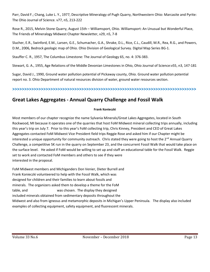Parr, David F.; Chang, Luke L. Y., 1977, Descriptive Mineralogy of Pugh Quarry, Northwestern Ohio: Marcasite and Pyrite: The Ohio Journal of Science. v77, n5, 213-222

Rose R., 2015, Melvin Stone Quarry, August 15th – Williamsport, Ohio. Williamsport: An Unusual but Wonderful Place, The Friends of Mineralogy Midwest Chapter Newsletter, v29, n5, 7-8

Slucher, E.R., Swinford, E.M., Larsen, G.E., Schumacher, G.A., Shrake, D.L., Rice, C.L., Caudill, M.R., Rea, R.G., and Powers, D.M., 2006, Bedrock geologic map of Ohio. Ohio Division of Geological Survey. Digital Map Series BG-1.

Stauffer C. R., 1957, The Columbus Limestone: The Journal of Geology 65, no. 4: 376-383.

Stewart, G. A., 1955, Age Relations of the Middle Devonian Limestones in Ohio, Ohio Journal of Science:v55, n3, 147-181

Sugar, David J., 1990, Ground water pollution potential of Pickaway county, Ohio. Ground water pollution potential report no. 3. Ohio Department of natural resources division of water, ground water resources section.

>>>>>>>>>>>>>>>>>>>>>>>>>>>>>>>>>>>>>>>>>>>>>>>>>>>>>>>>>>>>>>>>>>>>>>>>>>>>>

## Great Lakes Aggregates - Annual Quarry Challenge and Fossil Walk

#### Frank Konieczki

Most members of our chapter recognize the name Sylvania Minerals/Great Lakes Aggregates, located in South Rockwood, MI because it operates one of the quarries that host FoM Midwest mineral collecting trips annually, including this year's trip on July 7. Prior to this year's FoM collecting trip, Chris Kinney, President and CEO of Great Lakes Aggregates contacted FoM Midwest Vice President field trips Reggie Rose and asked him if our Chapter might be interested a unique opportunity for community outreach. Chris stated they were going to host the  $2^{nd}$  Annual Quarry Challenge, a competitive 5K run in the quarry on September 23, and the concurrent Fossil Walk that would take place on the surface level. He asked if FoM would be willing to set up and staff an educational table for the Fossil Walk. Reggie set to work and contacted FoM members and others to see if they were interested in the proposal.

FoM Midwest members and Michiganders Don Venier, Dieter Burrell and Frank Konieczki volunteered to help with the Fossil Walk, which was designed for children and their families to learn about fossils and minerals. The organizers asked them to develop a theme for the FoM table, and Midwest whishes we may be display they designed included minerals obtained from sedimentary deposits throughout the Midwest and also from igneous and metamorphic deposits in Michigan's Upper Peninsula. The display also included examples of collecting equipment, safety equipment, and fluorescent minerals.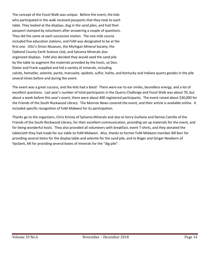The concept of the Fossil Walk was unique. Before the event, the kids who participated in the walk received passports that they took to each table. They looked at the displays, dug in the sand piles, and had their passport stamped by volunteers after answering a couple of questions. They did the same at each successive station. The one mile course included five education stations, and FoM was designated to be at the first one. OSU's Orton Museum, the Michigan Mineral Society, the Oakland County Earth Science club, and Sylvania Minerals also organized displays. FoM also decided they would seed the sand pile by the table to augment the materials provided by the hosts, so Don, Dieter and Frank supplied and hid a variety of minerals, including calcite, hematite, selenite, pyrite, marcasite, epidote, sulfur, halite, and Kentucky and Indiana quartz geodes in the pile several times before and during the event.

The event was a great success, and the kids had a blast! There were ear to ear smiles, boundless energy, and a lot of excellent questions. Last year's number of total participants in the Quarry Challenge and Fossil Walk was about 70, but about a week before this year's event, there were about 400 registered participants. The event raised about \$30,000 for the Friends of the South Rockwood Library. The Monroe News covered the event, and their article is available online. It included specific recognition of FoM Midwest for its participation.

Thanks go to the organizers, Chris Kinney of Sylvania Minerals and also to Kerry Guiliano and Denise Camillo of the Friends of the South Rockwood Library, for their excellent communication, providing set up materials for the event, and for being wonderful hosts. They also provided all volunteers with breakfast, event T-shirts, and they donated the tablecloth they had made for our table to FoM Midwest. Also, thanks to former FoM Midwest member Bill Barr for providing several items for the display table and selenite for the sand pile, and to Roger and Ginger Newborn of Ypsilanti, MI for providing several boxes of minerals for the "dig pile".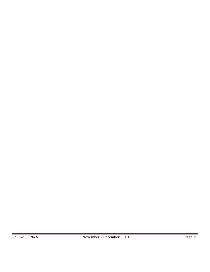Friends of Mineralogy Midwest Chapter Field 1.0 I, \_\_\_\_\_\_\_\_\_\_\_\_\_\_\_\_\_\_\_\_\_\_\_\_\_\_, desire to par ("FMMC")

(please print full name of participant)

field trips/activities ("Activity"). I fully unders Activity, in the transportation to and from the Acti adjunct to the Activity, which dangers include but an

2.0 Knowing the dangers, hazards, and risks of suc participate in the Activity and research, on behalf through me, release waive, forever discharge and cov third parties (hereafter called the "Releases") conn damage, demands, actions, causes of action, costs, personal property, personal injury, death, as well reputation, employment, contract, property rights and

I further agree to assume all the risks and responsil including transportation to or from, or any indeper understand the activities have inherent risks and I i those risks and acknowledge that FMMC cannot foresee

3.0 I understand and agree that Releases do not h understand and agree that Releases are granted permi that such action by Releases shall be subject to the no responsibility for any injury or damage which might medical treatment.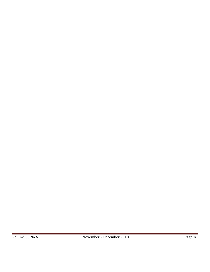4.0 In signing this Release, I acknowledge and re foregoing waiver of liability and hold harmless agre document as my own free act and deed; no oral repre written statement have been made. I understand that Activity, but I want to do so, despite the possible least eighteen (18) years of age, and fully competer adequate, and complete consideration fully intending related reasons or problems which preclude or restri insurance to provide and pay for any medical costs th

5.0 I further agree that this Release is in effec construed in accordance with the laws of the state in this Release shall be held illegal, unenforceable, c remaining portions shall not be affected thereby.

IN WITNESS WHEREOF, I have executed this Release

Participant Signature: \_\_\_\_\_\_\_\_\_\_\_\_\_\_\_\_\_\_\_\_\_\_\_\_\_\_\_\_\_\_\_\_\_\_\_\_\_ Address: \_\_\_\_\_\_\_\_\_\_\_\_\_\_\_\_\_\_\_\_\_\_\_\_\_\_\_\_\_\_\_\_\_\_\_, \_\_\_\_\_\_\_\_\_\_\_\_\_\_\_\_\_\_\_, \_\_\_\_\_\_\_\_\_, \_\_\_\_\_\_\_\_\_ Street City State Australian Street Code Phonw  $\bullet$  t  $\uparrow$  area code  $\frac{1}{2}$  =  $\frac{1}{2}$  =  $\frac{1}{2}$  =  $\frac{1}{2}$  =  $\frac{1}{2}$  =  $\frac{1}{2}$  =  $\frac{1}{2}$  =  $\frac{1}{2}$  =  $\frac{1}{2}$  =  $\frac{1}{2}$  =  $\frac{1}{2}$  =  $\frac{1}{2}$  =  $\frac{1}{2}$  =  $\frac{1}{2}$  =  $\frac{1}{2}$  =  $\frac{1}{2}$  = Emergency Contact:  $\frac{1}{2}$   $\frac{1}{2}$   $\frac{1}{2}$   $\frac{1}{2}$   $\frac{1}{2}$   $\frac{1}{2}$   $\frac{1}{2}$   $\frac{1}{2}$   $\frac{1}{2}$   $\frac{1}{2}$   $\frac{1}{2}$   $\frac{1}{2}$   $\frac{1}{2}$   $\frac{1}{2}$   $\frac{1}{2}$   $\frac{1}{2}$   $\frac{1}{2}$   $\frac{1}{2}$   $\frac{1}{2}$   $\frac{1}{2}$   $\$ Witness Smiug  $n$  abouraet  $(1 \nmid a s t_1 = 18 \nmid s s s_2 = 0 \nmid d$